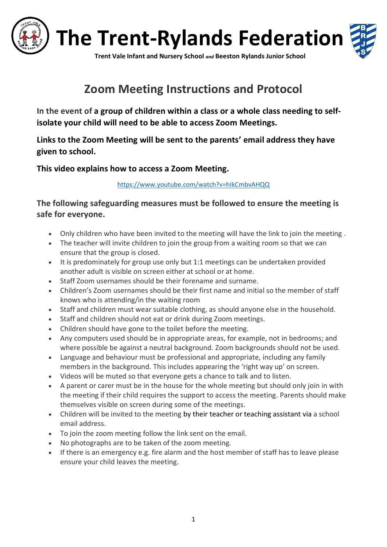

## **Zoom Meeting Instructions and Protocol**

**In the event of a group of children within a class or a whole class needing to selfisolate your child will need to be able to access Zoom Meetings.**

**Links to the Zoom Meeting will be sent to the parents' email address they have given to school.**

**This video explains how to access a Zoom Meeting.** 

<https://www.youtube.com/watch?v=hIkCmbvAHQQ>

**The following safeguarding measures must be followed to ensure the meeting is safe for everyone.**

- Only children who have been invited to the meeting will have the link to join the meeting .
- The teacher will invite children to join the group from a waiting room so that we can ensure that the group is closed.
- It is predominately for group use only but 1:1 meetings can be undertaken provided another adult is visible on screen either at school or at home.
- Staff Zoom usernames should be their forename and surname.
- Children's Zoom usernames should be their first name and initial so the member of staff knows who is attending/in the waiting room
- Staff and children must wear suitable clothing, as should anyone else in the household.
- Staff and children should not eat or drink during Zoom meetings.
- Children should have gone to the toilet before the meeting.
- Any computers used should be in appropriate areas, for example, not in bedrooms; and where possible be against a neutral background. Zoom backgrounds should not be used.
- Language and behaviour must be professional and appropriate, including any family members in the background. This includes appearing the 'right way up' on screen.
- Videos will be muted so that everyone gets a chance to talk and to listen.
- A parent or carer must be in the house for the whole meeting but should only join in with the meeting if their child requires the support to access the meeting. Parents should make themselves visible on screen during some of the meetings.
- Children will be invited to the meeting by their teacher or teaching assistant via a school email address.
- To join the zoom meeting follow the link sent on the email.
- No photographs are to be taken of the zoom meeting.
- If there is an emergency e.g. fire alarm and the host member of staff has to leave please ensure your child leaves the meeting.